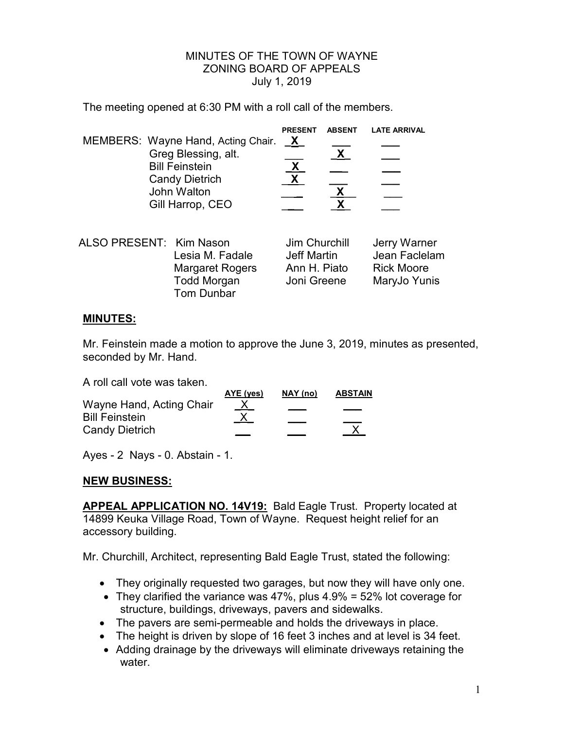## MINUTES OF THE TOWN OF WAYNE ZONING BOARD OF APPEALS July 1, 2019

The meeting opened at 6:30 PM with a roll call of the members.

|                                    | <b>PRESENT</b> | <b>ABSENT</b> | <b>LATE ARRIVAL</b> |
|------------------------------------|----------------|---------------|---------------------|
| MEMBERS: Wayne Hand, Acting Chair. | $\mathbf{X}$   |               |                     |
| Greg Blessing, alt.                |                |               |                     |
| <b>Bill Feinstein</b>              | χ              |               |                     |
| <b>Candy Dietrich</b>              |                |               |                     |
| John Walton                        |                |               |                     |
| Gill Harrop, CEO                   |                |               |                     |
|                                    |                |               |                     |

| ALSO PRESENT: Kim Nason |                        | Jim Churchill | Jerry Warner      |
|-------------------------|------------------------|---------------|-------------------|
|                         | Lesia M. Fadale        | Jeff Martin   | Jean Faclelam     |
|                         | <b>Margaret Rogers</b> | Ann H. Piato  | <b>Rick Moore</b> |
|                         | <b>Todd Morgan</b>     | Joni Greene   | MaryJo Yunis      |
|                         | Tom Dunbar             |               |                   |

## **MINUTES:**

Mr. Feinstein made a motion to approve the June 3, 2019, minutes as presented, seconded by Mr. Hand.

A roll call vote was taken.

|                          | AYE (yes)     | NAY (no) | <b>ABSTAIN</b> |
|--------------------------|---------------|----------|----------------|
| Wayne Hand, Acting Chair | $\frac{X}{X}$ |          |                |
| <b>Bill Feinstein</b>    |               |          |                |
| <b>Candy Dietrich</b>    |               |          |                |
|                          |               |          |                |

Ayes - 2 Nays - 0. Abstain - 1.

## **NEW BUSINESS:**

**APPEAL APPLICATION NO. 14V19:** Bald Eagle Trust. Property located at 14899 Keuka Village Road, Town of Wayne. Request height relief for an accessory building.

Mr. Churchill, Architect, representing Bald Eagle Trust, stated the following:

- They originally requested two garages, but now they will have only one.
- They clarified the variance was  $47\%$ , plus  $4.9\%$  = 52% lot coverage for structure, buildings, driveways, pavers and sidewalks.
- The pavers are semi-permeable and holds the driveways in place.
- The height is driven by slope of 16 feet 3 inches and at level is 34 feet.
- Adding drainage by the driveways will eliminate driveways retaining the water.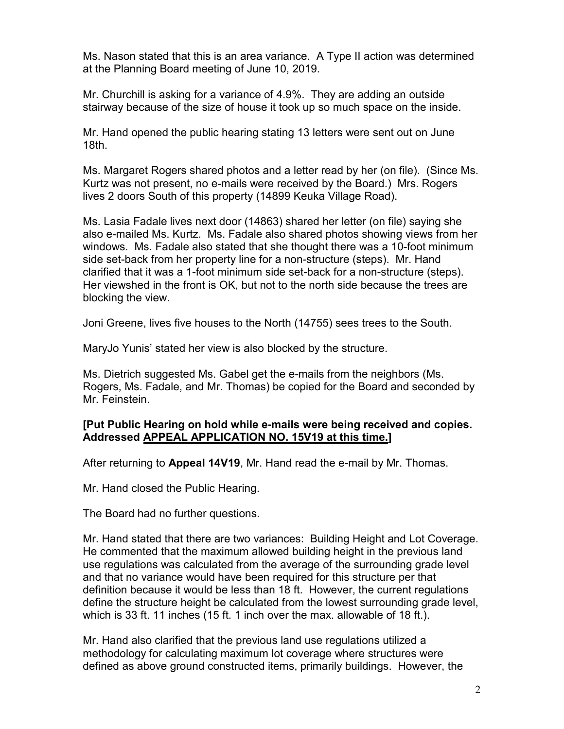Ms. Nason stated that this is an area variance. A Type II action was determined at the Planning Board meeting of June 10, 2019.

Mr. Churchill is asking for a variance of 4.9%. They are adding an outside stairway because of the size of house it took up so much space on the inside.

Mr. Hand opened the public hearing stating 13 letters were sent out on June 18th.

Ms. Margaret Rogers shared photos and a letter read by her (on file). (Since Ms. Kurtz was not present, no e-mails were received by the Board.) Mrs. Rogers lives 2 doors South of this property (14899 Keuka Village Road).

Ms. Lasia Fadale lives next door (14863) shared her letter (on file) saying she also e-mailed Ms. Kurtz. Ms. Fadale also shared photos showing views from her windows. Ms. Fadale also stated that she thought there was a 10-foot minimum side set-back from her property line for a non-structure (steps). Mr. Hand clarified that it was a 1-foot minimum side set-back for a non-structure (steps). Her viewshed in the front is OK, but not to the north side because the trees are blocking the view.

Joni Greene, lives five houses to the North (14755) sees trees to the South.

MaryJo Yunis' stated her view is also blocked by the structure.

Ms. Dietrich suggested Ms. Gabel get the e-mails from the neighbors (Ms. Rogers, Ms. Fadale, and Mr. Thomas) be copied for the Board and seconded by Mr. Feinstein.

## **[Put Public Hearing on hold while e-mails were being received and copies. Addressed APPEAL APPLICATION NO. 15V19 at this time.]**

After returning to **Appeal 14V19**, Mr. Hand read the e-mail by Mr. Thomas.

Mr. Hand closed the Public Hearing.

The Board had no further questions.

Mr. Hand stated that there are two variances: Building Height and Lot Coverage. He commented that the maximum allowed building height in the previous land use regulations was calculated from the average of the surrounding grade level and that no variance would have been required for this structure per that definition because it would be less than 18 ft. However, the current regulations define the structure height be calculated from the lowest surrounding grade level, which is 33 ft. 11 inches (15 ft. 1 inch over the max. allowable of 18 ft.).

Mr. Hand also clarified that the previous land use regulations utilized a methodology for calculating maximum lot coverage where structures were defined as above ground constructed items, primarily buildings. However, the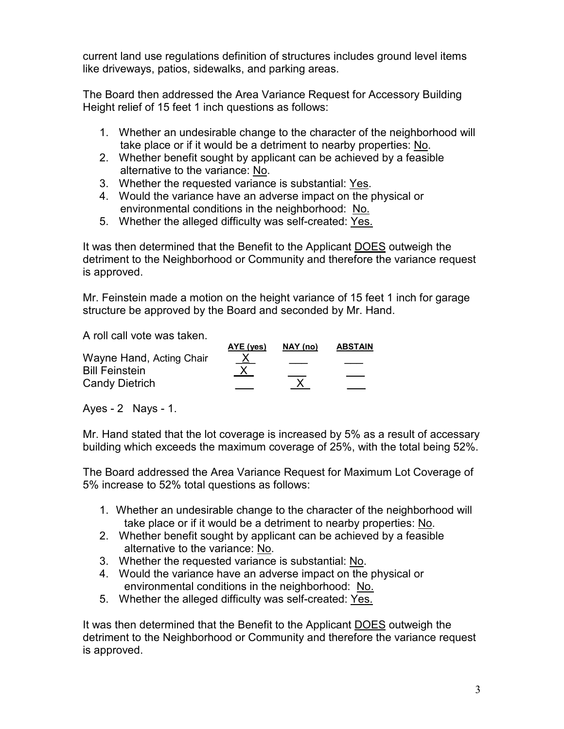current land use regulations definition of structures includes ground level items like driveways, patios, sidewalks, and parking areas.

The Board then addressed the Area Variance Request for Accessory Building Height relief of 15 feet 1 inch questions as follows:

- 1. Whether an undesirable change to the character of the neighborhood will take place or if it would be a detriment to nearby properties: No.
- 2. Whether benefit sought by applicant can be achieved by a feasible alternative to the variance: No.
- 3. Whether the requested variance is substantial: Yes.
- 4. Would the variance have an adverse impact on the physical or environmental conditions in the neighborhood: No.
- 5. Whether the alleged difficulty was self-created: Yes.

It was then determined that the Benefit to the Applicant DOES outweigh the detriment to the Neighborhood or Community and therefore the variance request is approved.

Mr. Feinstein made a motion on the height variance of 15 feet 1 inch for garage structure be approved by the Board and seconded by Mr. Hand.

A roll call vote was taken.

|                          | AYE (yes)    | NAY (no) | <b>ABSTAIN</b> |
|--------------------------|--------------|----------|----------------|
| Wayne Hand, Acting Chair | $\mathbf{X}$ |          |                |
| <b>Bill Feinstein</b>    |              |          |                |
| <b>Candy Dietrich</b>    |              |          |                |
|                          |              |          |                |

Ayes - 2 Nays - 1.

Mr. Hand stated that the lot coverage is increased by 5% as a result of accessary building which exceeds the maximum coverage of 25%, with the total being 52%.

The Board addressed the Area Variance Request for Maximum Lot Coverage of 5% increase to 52% total questions as follows:

- 1. Whether an undesirable change to the character of the neighborhood will take place or if it would be a detriment to nearby properties: No.
- 2. Whether benefit sought by applicant can be achieved by a feasible alternative to the variance: No.
- 3. Whether the requested variance is substantial: No.
- 4. Would the variance have an adverse impact on the physical or environmental conditions in the neighborhood: No.
- 5. Whether the alleged difficulty was self-created: Yes.

It was then determined that the Benefit to the Applicant DOES outweigh the detriment to the Neighborhood or Community and therefore the variance request is approved.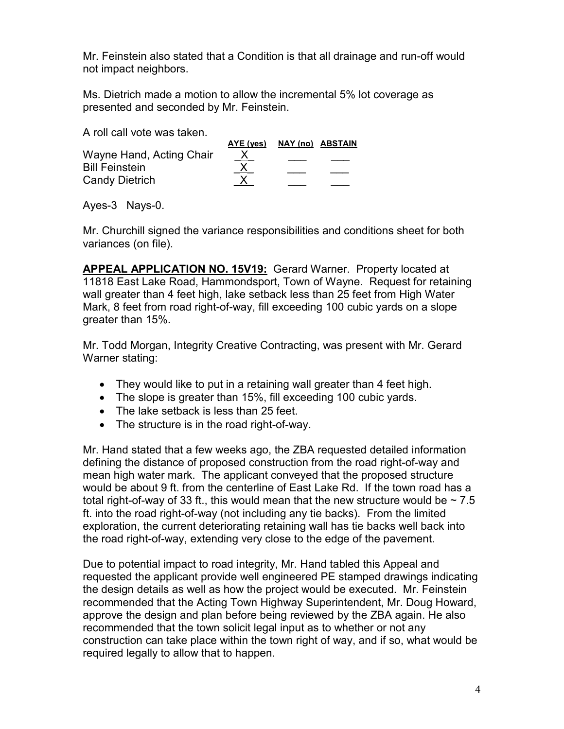Mr. Feinstein also stated that a Condition is that all drainage and run-off would not impact neighbors.

Ms. Dietrich made a motion to allow the incremental 5% lot coverage as presented and seconded by Mr. Feinstein.

A roll call vote was taken.

|                          | AYE (yes) | NAY (no) ABSTAIN |
|--------------------------|-----------|------------------|
| Wayne Hand, Acting Chair | <u>X</u>  |                  |
| <b>Bill Feinstein</b>    |           |                  |
| <b>Candy Dietrich</b>    |           |                  |
|                          |           |                  |

Ayes-3 Nays-0.

Mr. Churchill signed the variance responsibilities and conditions sheet for both variances (on file).

**APPEAL APPLICATION NO. 15V19:** Gerard Warner. Property located at 11818 East Lake Road, Hammondsport, Town of Wayne. Request for retaining wall greater than 4 feet high, lake setback less than 25 feet from High Water Mark, 8 feet from road right-of-way, fill exceeding 100 cubic yards on a slope greater than 15%.

Mr. Todd Morgan, Integrity Creative Contracting, was present with Mr. Gerard Warner stating:

- They would like to put in a retaining wall greater than 4 feet high.
- The slope is greater than 15%, fill exceeding 100 cubic yards.
- The lake setback is less than 25 feet.
- The structure is in the road right-of-way.

Mr. Hand stated that a few weeks ago, the ZBA requested detailed information defining the distance of proposed construction from the road right-of-way and mean high water mark. The applicant conveyed that the proposed structure would be about 9 ft. from the centerline of East Lake Rd. If the town road has a total right-of-way of 33 ft., this would mean that the new structure would be  $\sim$  7.5 ft. into the road right-of-way (not including any tie backs). From the limited exploration, the current deteriorating retaining wall has tie backs well back into the road right-of-way, extending very close to the edge of the pavement.

Due to potential impact to road integrity, Mr. Hand tabled this Appeal and requested the applicant provide well engineered PE stamped drawings indicating the design details as well as how the project would be executed. Mr. Feinstein recommended that the Acting Town Highway Superintendent, Mr. Doug Howard, approve the design and plan before being reviewed by the ZBA again. He also recommended that the town solicit legal input as to whether or not any construction can take place within the town right of way, and if so, what would be required legally to allow that to happen.